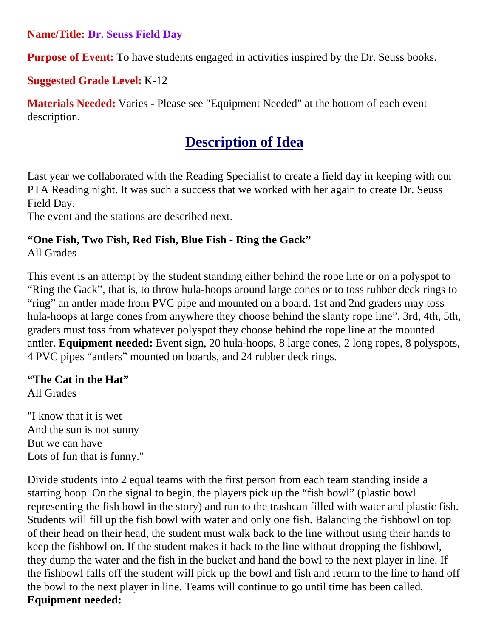**Name/Title: Dr. Seuss Field Day**

**Purpose of Event:** To have students engaged in activities inspired by the Dr. Seuss books.

**Suggested Grade Level:** K-12

**Materials Needed:** Varies - Please see "Equipment Needed" at the bottom of each event description.

# **Description of Idea**

Last year we collaborated with the Reading Specialist to create a field day in keeping with our PTA Reading night. It was such a success that we worked with her again to create Dr. Seuss Field Day.

The event and the stations are described next.

# **"One Fish, Two Fish, Red Fish, Blue Fish - Ring the Gack"**

All Grades

This event is an attempt by the student standing either behind the rope line or on a polyspot to "Ring the Gack", that is, to throw hula-hoops around large cones or to toss rubber deck rings to "ring" an antler made from PVC pipe and mounted on a board. 1st and 2nd graders may toss hula-hoops at large cones from anywhere they choose behind the slanty rope line". 3rd, 4th, 5th, graders must toss from whatever polyspot they choose behind the rope line at the mounted antler. **Equipment needed:** Event sign, 20 hula-hoops, 8 large cones, 2 long ropes, 8 polyspots, 4 PVC pipes "antlers" mounted on boards, and 24 rubber deck rings.

## **"The Cat in the Hat"**

All Grades

"I know that it is wet And the sun is not sunny But we can have Lots of fun that is funny."

Divide students into 2 equal teams with the first person from each team standing inside a starting hoop. On the signal to begin, the players pick up the "fish bowl" (plastic bowl representing the fish bowl in the story) and run to the trashcan filled with water and plastic fish. Students will fill up the fish bowl with water and only one fish. Balancing the fishbowl on top of their head on their head, the student must walk back to the line without using their hands to keep the fishbowl on. If the student makes it back to the line without dropping the fishbowl, they dump the water and the fish in the bucket and hand the bowl to the next player in line. If the fishbowl falls off the student will pick up the bowl and fish and return to the line to hand off the bowl to the next player in line. Teams will continue to go until time has been called. **Equipment needed:**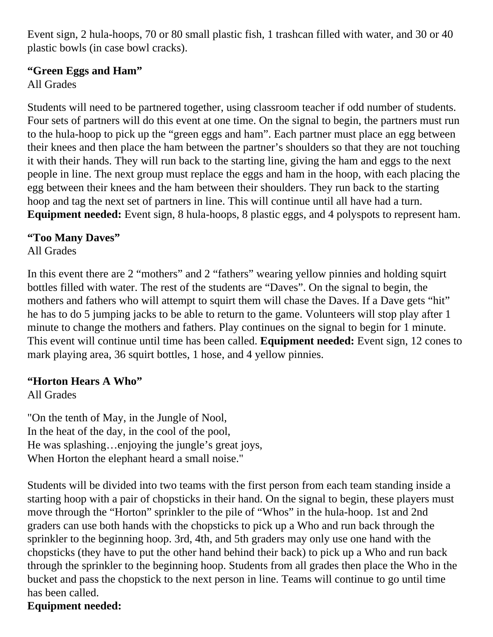Event sign, 2 hula-hoops, 70 or 80 small plastic fish, 1 trashcan filled with water, and 30 or 40 plastic bowls (in case bowl cracks).

## **"Green Eggs and Ham"**

All Grades

Students will need to be partnered together, using classroom teacher if odd number of students. Four sets of partners will do this event at one time. On the signal to begin, the partners must run to the hula-hoop to pick up the "green eggs and ham". Each partner must place an egg between their knees and then place the ham between the partner's shoulders so that they are not touching it with their hands. They will run back to the starting line, giving the ham and eggs to the next people in line. The next group must replace the eggs and ham in the hoop, with each placing the egg between their knees and the ham between their shoulders. They run back to the starting hoop and tag the next set of partners in line. This will continue until all have had a turn. **Equipment needed:** Event sign, 8 hula-hoops, 8 plastic eggs, and 4 polyspots to represent ham.

## **"Too Many Daves"**

All Grades

In this event there are 2 "mothers" and 2 "fathers" wearing yellow pinnies and holding squirt bottles filled with water. The rest of the students are "Daves". On the signal to begin, the mothers and fathers who will attempt to squirt them will chase the Daves. If a Dave gets "hit" he has to do 5 jumping jacks to be able to return to the game. Volunteers will stop play after 1 minute to change the mothers and fathers. Play continues on the signal to begin for 1 minute. This event will continue until time has been called. **Equipment needed:** Event sign, 12 cones to mark playing area, 36 squirt bottles, 1 hose, and 4 yellow pinnies.

# **"Horton Hears A Who"**

All Grades

"On the tenth of May, in the Jungle of Nool, In the heat of the day, in the cool of the pool, He was splashing…enjoying the jungle's great joys, When Horton the elephant heard a small noise."

Students will be divided into two teams with the first person from each team standing inside a starting hoop with a pair of chopsticks in their hand. On the signal to begin, these players must move through the "Horton" sprinkler to the pile of "Whos" in the hula-hoop. 1st and 2nd graders can use both hands with the chopsticks to pick up a Who and run back through the sprinkler to the beginning hoop. 3rd, 4th, and 5th graders may only use one hand with the chopsticks (they have to put the other hand behind their back) to pick up a Who and run back through the sprinkler to the beginning hoop. Students from all grades then place the Who in the bucket and pass the chopstick to the next person in line. Teams will continue to go until time has been called.

# **Equipment needed:**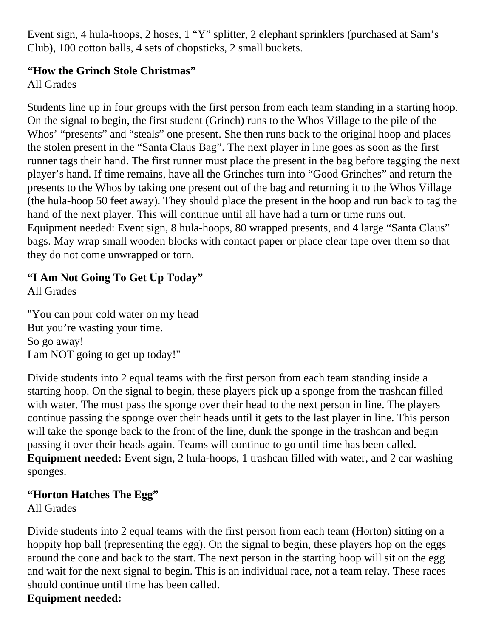Event sign, 4 hula-hoops, 2 hoses, 1 "Y" splitter, 2 elephant sprinklers (purchased at Sam's Club), 100 cotton balls, 4 sets of chopsticks, 2 small buckets.

## **"How the Grinch Stole Christmas"**

All Grades

Students line up in four groups with the first person from each team standing in a starting hoop. On the signal to begin, the first student (Grinch) runs to the Whos Village to the pile of the Whos' "presents" and "steals" one present. She then runs back to the original hoop and places the stolen present in the "Santa Claus Bag". The next player in line goes as soon as the first runner tags their hand. The first runner must place the present in the bag before tagging the next player's hand. If time remains, have all the Grinches turn into "Good Grinches" and return the presents to the Whos by taking one present out of the bag and returning it to the Whos Village (the hula-hoop 50 feet away). They should place the present in the hoop and run back to tag the hand of the next player. This will continue until all have had a turn or time runs out. Equipment needed: Event sign, 8 hula-hoops, 80 wrapped presents, and 4 large "Santa Claus" bags. May wrap small wooden blocks with contact paper or place clear tape over them so that they do not come unwrapped or torn.

# **"I Am Not Going To Get Up Today"**

All Grades

"You can pour cold water on my head But you're wasting your time. So go away! I am NOT going to get up today!"

Divide students into 2 equal teams with the first person from each team standing inside a starting hoop. On the signal to begin, these players pick up a sponge from the trashcan filled with water. The must pass the sponge over their head to the next person in line. The players continue passing the sponge over their heads until it gets to the last player in line. This person will take the sponge back to the front of the line, dunk the sponge in the trashcan and begin passing it over their heads again. Teams will continue to go until time has been called. **Equipment needed:** Event sign, 2 hula-hoops, 1 trashcan filled with water, and 2 car washing sponges.

### **"Horton Hatches The Egg"** All Grades

Divide students into 2 equal teams with the first person from each team (Horton) sitting on a hoppity hop ball (representing the egg). On the signal to begin, these players hop on the eggs around the cone and back to the start. The next person in the starting hoop will sit on the egg and wait for the next signal to begin. This is an individual race, not a team relay. These races should continue until time has been called.

**Equipment needed:**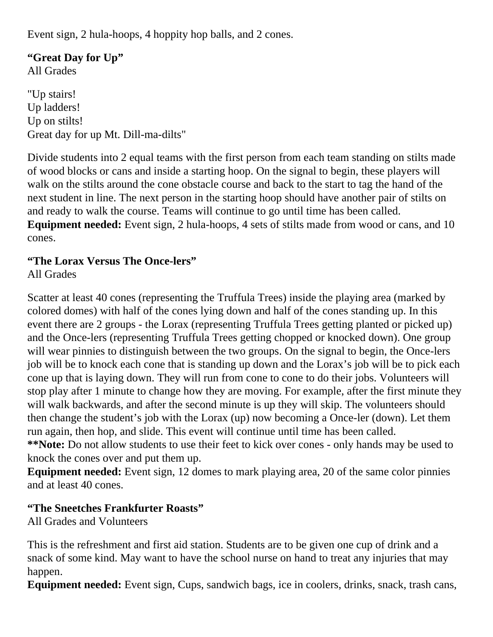Event sign, 2 hula-hoops, 4 hoppity hop balls, and 2 cones.

### **"Great Day for Up"** All Grades

"Up stairs! Up ladders! Up on stilts! Great day for up Mt. Dill-ma-dilts"

Divide students into 2 equal teams with the first person from each team standing on stilts made of wood blocks or cans and inside a starting hoop. On the signal to begin, these players will walk on the stilts around the cone obstacle course and back to the start to tag the hand of the next student in line. The next person in the starting hoop should have another pair of stilts on and ready to walk the course. Teams will continue to go until time has been called. **Equipment needed:** Event sign, 2 hula-hoops, 4 sets of stilts made from wood or cans, and 10 cones.

### **"The Lorax Versus The Once-lers"**

All Grades

Scatter at least 40 cones (representing the Truffula Trees) inside the playing area (marked by colored domes) with half of the cones lying down and half of the cones standing up. In this event there are 2 groups - the Lorax (representing Truffula Trees getting planted or picked up) and the Once-lers (representing Truffula Trees getting chopped or knocked down). One group will wear pinnies to distinguish between the two groups. On the signal to begin, the Once-lers job will be to knock each cone that is standing up down and the Lorax's job will be to pick each cone up that is laying down. They will run from cone to cone to do their jobs. Volunteers will stop play after 1 minute to change how they are moving. For example, after the first minute they will walk backwards, and after the second minute is up they will skip. The volunteers should then change the student's job with the Lorax (up) now becoming a Once-ler (down). Let them run again, then hop, and slide. This event will continue until time has been called. **\*\*Note:** Do not allow students to use their feet to kick over cones - only hands may be used to

knock the cones over and put them up.

**Equipment needed:** Event sign, 12 domes to mark playing area, 20 of the same color pinnies and at least 40 cones.

#### **"The Sneetches Frankfurter Roasts"**

All Grades and Volunteers

This is the refreshment and first aid station. Students are to be given one cup of drink and a snack of some kind. May want to have the school nurse on hand to treat any injuries that may happen.

**Equipment needed:** Event sign, Cups, sandwich bags, ice in coolers, drinks, snack, trash cans,